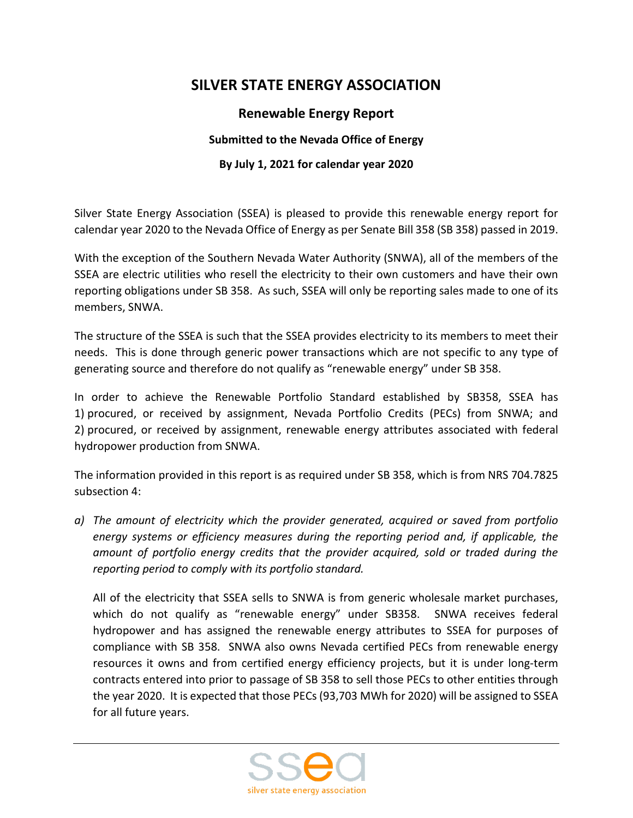## **SILVER STATE ENERGY ASSOCIATION**

## **Renewable Energy Report**

## **Submitted to the Nevada Office of Energy**

## **By July 1, 2021 for calendar year 2020**

Silver State Energy Association (SSEA) is pleased to provide this renewable energy report for calendar year 2020 to the Nevada Office of Energy as per Senate Bill 358 (SB 358) passed in 2019.

With the exception of the Southern Nevada Water Authority (SNWA), all of the members of the SSEA are electric utilities who resell the electricity to their own customers and have their own reporting obligations under SB 358. As such, SSEA will only be reporting sales made to one of its members, SNWA.

The structure of the SSEA is such that the SSEA provides electricity to its members to meet their needs. This is done through generic power transactions which are not specific to any type of generating source and therefore do not qualify as "renewable energy" under SB 358.

In order to achieve the Renewable Portfolio Standard established by SB358, SSEA has 1) procured, or received by assignment, Nevada Portfolio Credits (PECs) from SNWA; and 2) procured, or received by assignment, renewable energy attributes associated with federal hydropower production from SNWA.

The information provided in this report is as required under SB 358, which is from NRS 704.7825 subsection 4:

*a) The amount of electricity which the provider generated, acquired or saved from portfolio energy systems or efficiency measures during the reporting period and, if applicable, the amount of portfolio energy credits that the provider acquired, sold or traded during the reporting period to comply with its portfolio standard.*

All of the electricity that SSEA sells to SNWA is from generic wholesale market purchases, which do not qualify as "renewable energy" under SB358. SNWA receives federal hydropower and has assigned the renewable energy attributes to SSEA for purposes of compliance with SB 358. SNWA also owns Nevada certified PECs from renewable energy resources it owns and from certified energy efficiency projects, but it is under long-term contracts entered into prior to passage of SB 358 to sell those PECs to other entities through the year 2020. It is expected that those PECs (93,703 MWh for 2020) will be assigned to SSEA for all future years.

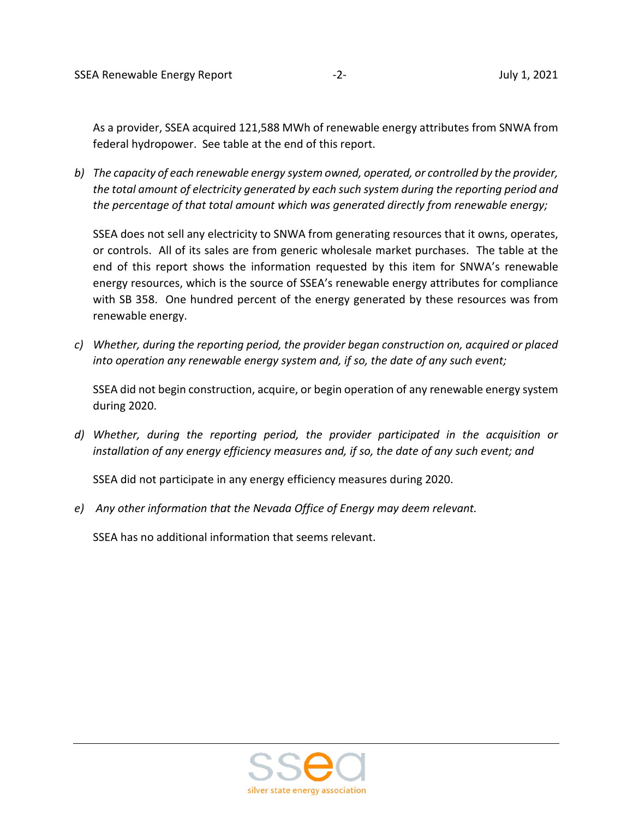As a provider, SSEA acquired 121,588 MWh of renewable energy attributes from SNWA from federal hydropower. See table at the end of this report.

*b) The capacity of each renewable energy system owned, operated, or controlled by the provider, the total amount of electricity generated by each such system during the reporting period and the percentage of that total amount which was generated directly from renewable energy;*

SSEA does not sell any electricity to SNWA from generating resources that it owns, operates, or controls. All of its sales are from generic wholesale market purchases. The table at the end of this report shows the information requested by this item for SNWA's renewable energy resources, which is the source of SSEA's renewable energy attributes for compliance with SB 358. One hundred percent of the energy generated by these resources was from renewable energy.

*c) Whether, during the reporting period, the provider began construction on, acquired or placed into operation any renewable energy system and, if so, the date of any such event;*

SSEA did not begin construction, acquire, or begin operation of any renewable energy system during 2020.

*d) Whether, during the reporting period, the provider participated in the acquisition or installation of any energy efficiency measures and, if so, the date of any such event; and*

SSEA did not participate in any energy efficiency measures during 2020.

*e) Any other information that the Nevada Office of Energy may deem relevant.*

SSEA has no additional information that seems relevant.